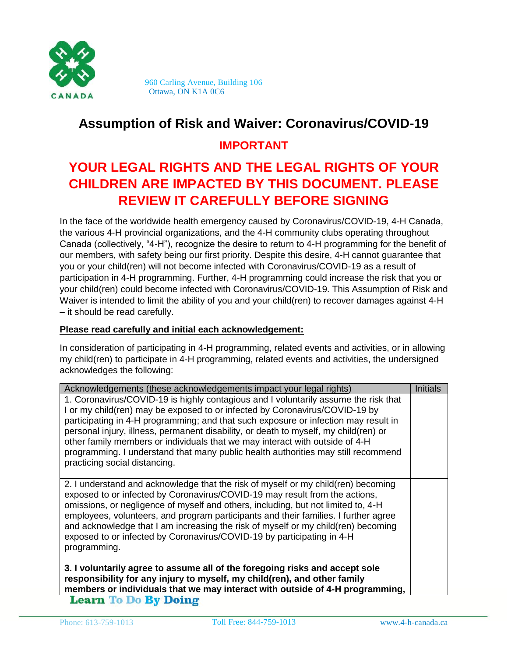

 960 Carling Avenue, Building 106 Ottawa, ON K1A 0C6

# **Assumption of Risk and Waiver: Coronavirus/COVID-19**

### **IMPORTANT**

# **YOUR LEGAL RIGHTS AND THE LEGAL RIGHTS OF YOUR CHILDREN ARE IMPACTED BY THIS DOCUMENT. PLEASE REVIEW IT CAREFULLY BEFORE SIGNING**

In the face of the worldwide health emergency caused by Coronavirus/COVID-19, 4-H Canada, the various 4-H provincial organizations, and the 4-H community clubs operating throughout Canada (collectively, "4-H"), recognize the desire to return to 4-H programming for the benefit of our members, with safety being our first priority. Despite this desire, 4-H cannot guarantee that you or your child(ren) will not become infected with Coronavirus/COVID-19 as a result of participation in 4-H programming. Further, 4-H programming could increase the risk that you or your child(ren) could become infected with Coronavirus/COVID-19. This Assumption of Risk and Waiver is intended to limit the ability of you and your child(ren) to recover damages against 4-H – it should be read carefully.

#### **Please read carefully and initial each acknowledgement:**

In consideration of participating in 4-H programming, related events and activities, or in allowing my child(ren) to participate in 4-H programming, related events and activities, the undersigned acknowledges the following:

| Acknowledgements (these acknowledgements impact your legal rights)                                                                                                                                                                                                                                                                                                                                                                                                                                                                                      | <b>Initials</b> |  |
|---------------------------------------------------------------------------------------------------------------------------------------------------------------------------------------------------------------------------------------------------------------------------------------------------------------------------------------------------------------------------------------------------------------------------------------------------------------------------------------------------------------------------------------------------------|-----------------|--|
| 1. Coronavirus/COVID-19 is highly contagious and I voluntarily assume the risk that<br>I or my child(ren) may be exposed to or infected by Coronavirus/COVID-19 by<br>participating in 4-H programming; and that such exposure or infection may result in<br>personal injury, illness, permanent disability, or death to myself, my child(ren) or<br>other family members or individuals that we may interact with outside of 4-H<br>programming. I understand that many public health authorities may still recommend<br>practicing social distancing. |                 |  |
| 2. I understand and acknowledge that the risk of myself or my child(ren) becoming<br>exposed to or infected by Coronavirus/COVID-19 may result from the actions,<br>omissions, or negligence of myself and others, including, but not limited to, 4-H<br>employees, volunteers, and program participants and their families. I further agree<br>and acknowledge that I am increasing the risk of myself or my child(ren) becoming<br>exposed to or infected by Coronavirus/COVID-19 by participating in 4-H<br>programming.                             |                 |  |
| 3. I voluntarily agree to assume all of the foregoing risks and accept sole<br>responsibility for any injury to myself, my child(ren), and other family<br>members or individuals that we may interact with outside of 4-H programming,<br><b>Learn To Do By Doing</b>                                                                                                                                                                                                                                                                                  |                 |  |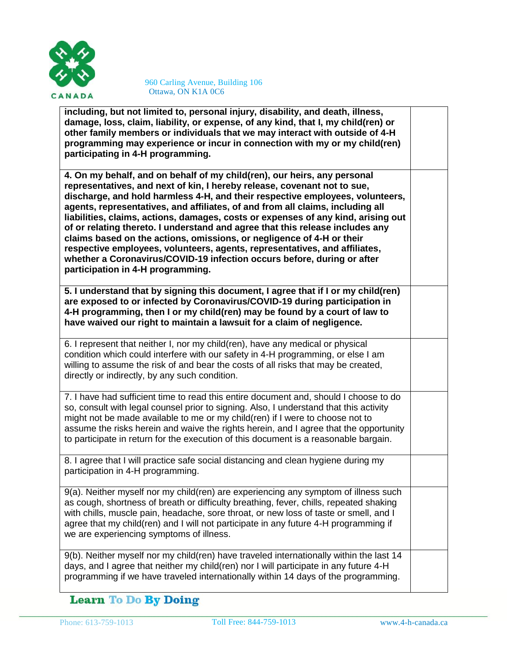

**including, but not limited to, personal injury, disability, and death, illness, damage, loss, claim, liability, or expense, of any kind, that I, my child(ren) or other family members or individuals that we may interact with outside of 4-H programming may experience or incur in connection with my or my child(ren) participating in 4-H programming.**

**4. On my behalf, and on behalf of my child(ren), our heirs, any personal representatives, and next of kin, I hereby release, covenant not to sue, discharge, and hold harmless 4-H, and their respective employees, volunteers, agents, representatives, and affiliates, of and from all claims, including all liabilities, claims, actions, damages, costs or expenses of any kind, arising out of or relating thereto. I understand and agree that this release includes any claims based on the actions, omissions, or negligence of 4-H or their respective employees, volunteers, agents, representatives, and affiliates, whether a Coronavirus/COVID-19 infection occurs before, during or after participation in 4-H programming.**

**5. I understand that by signing this document, I agree that if I or my child(ren) are exposed to or infected by Coronavirus/COVID-19 during participation in 4-H programming, then I or my child(ren) may be found by a court of law to have waived our right to maintain a lawsuit for a claim of negligence.**

6. I represent that neither I, nor my child(ren), have any medical or physical condition which could interfere with our safety in 4-H programming, or else I am willing to assume the risk of and bear the costs of all risks that may be created, directly or indirectly, by any such condition.

7. I have had sufficient time to read this entire document and, should I choose to do so, consult with legal counsel prior to signing. Also, I understand that this activity might not be made available to me or my child(ren) if I were to choose not to assume the risks herein and waive the rights herein, and I agree that the opportunity to participate in return for the execution of this document is a reasonable bargain.

8. I agree that I will practice safe social distancing and clean hygiene during my participation in 4-H programming.

9(a). Neither myself nor my child(ren) are experiencing any symptom of illness such as cough, shortness of breath or difficulty breathing, fever, chills, repeated shaking with chills, muscle pain, headache, sore throat, or new loss of taste or smell, and I agree that my child(ren) and I will not participate in any future 4-H programming if we are experiencing symptoms of illness.

9(b). Neither myself nor my child(ren) have traveled internationally within the last 14 days, and I agree that neither my child(ren) nor I will participate in any future 4-H programming if we have traveled internationally within 14 days of the programming.

### **Learn To Do By Doing**